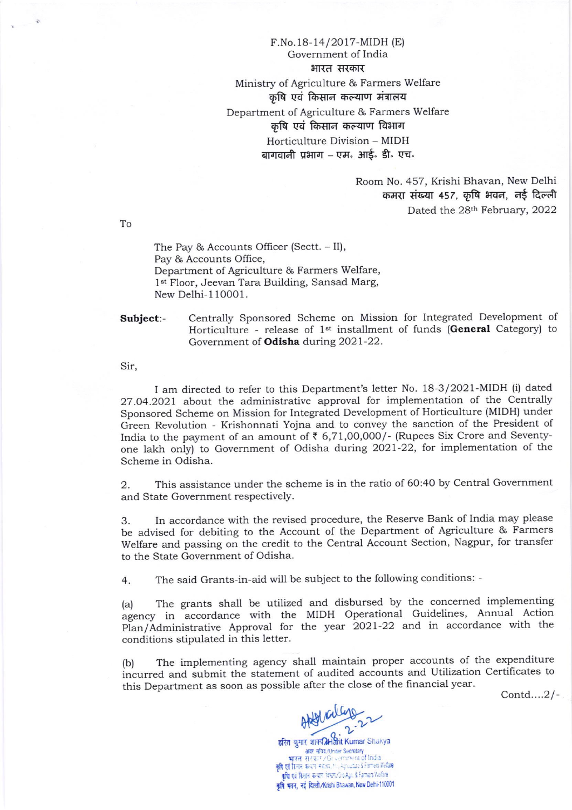F.No. 18-14/2017-MIDH (E) Government of India भारत सरकार Ministry of Agriculture & Farmers Welfare कृषि एवं किसान कल्याण मंत्रालय Department of Agriculture & Farmers Welfare कृषि एवं किसान कल्याण विभाग Horticulture Division - MIDH बागवानी प्रभाग – एम<mark>. आई. डी. एच</mark>.

> Room No.457, Krishi Bhavan, New Delhi कमरा संख्या 457, कृषि भवन, नई दिल्ली Dated the 28<sup>th</sup> February, 2022

To

The Pay & Accounts Officer (Sectt. - II), Pay & Accounts Office, Department of Agriculture & Farmers Welfare, 1<sup>st</sup> Floor, Jeevan Tara Building, Sansad Marg, New Delhi-110001.

Subject:- Centrally Sponsored Scheme on Mission for Integrated Development of Horticulture - release of 1<sup>st</sup> installment of funds (General Category) to Government of **Odisha** during 2021-22.

Sir,

I am directed to refer to this Department's letter No. 18-3/2021-MIDH (i) dated <sup>27</sup>.O4.2O27 about the administrative approval for implementation of the Centrally Sponsored Scheme on Mission for Integrated Development of Horticulture (MIDH) under Green Revolution - Krishonnati Yojna and to convey the sanction of the President of India to the payment of an amount of  $\bar{\tau}$  6,71,00,000/- (Rupees Six Crore and Seventyone lakh only) to Government of Odisha during 2021-22, for implementation of the Scheme in Odisha.

2. This assistance under the scheme is in the ratio of 6O:40 by Central Government and State Government respectively.

3. In accordance with the revised procedure, the Reserve Bank of India may please be advised for debiting to the Account of the Department of Agriculture & Farmers welfare and passing on the credit to the central Account Section, Nagpur, for transfer to the State Government of Odisha.

4. The said Grants-in-aid will be subject to the following conditions: -

(a) The grants shall be utilized and disbursed by the concerned implementing agency in accordance with the MIDH Operational Guidelines, Annual Action Plan/Administrative Approval for the year 2021-22 and in accordance with the conditions stipulated in this letter.

(b) The implementing agency shall maintain proper accounts of the expenditure incurred and submit the statement of audited accounts and Utilization Certificates to this Department as soon as possible after the close of the financial year.

Contd....2/\_

हरित कुमार शाक्य Harit Kumar Shakya  $df/dt = 2.22$ अवर सचित्र/Under Secretary

् भारतः सरेकार / Grivermont of India<br>कृषि एवं हिमान कन्यान मंत्रजय, Nu Agruptice & Famers Welfare<br>कृषि एवं किसान कन्यान मंत्रप्रा/DioAgri & Famers Welfare कृषि भवन, नई दिल्ली/Krishi Bhawan, New Delhi-110001